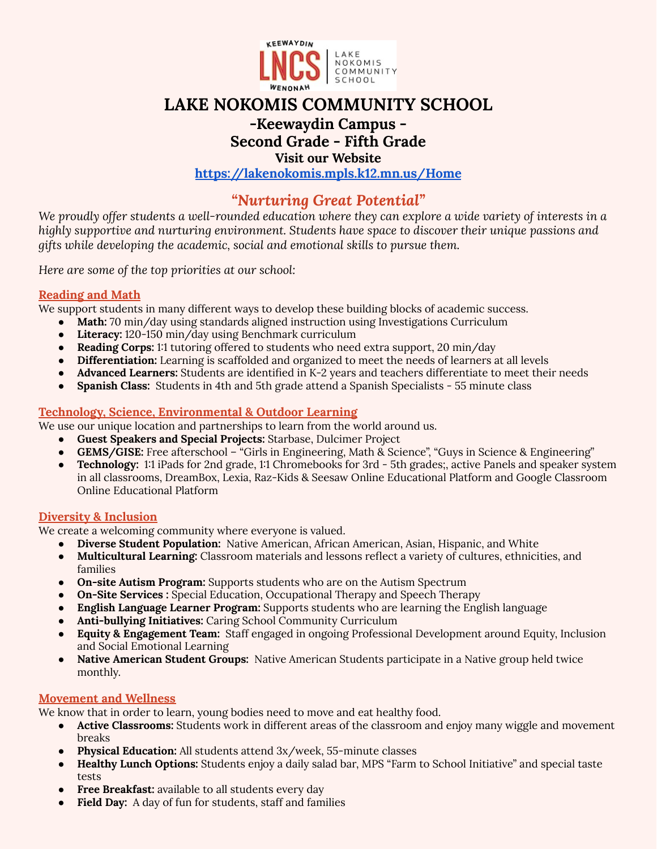

# **LAKE NOKOMIS COMMUNITY SCHOOL**

# **-Keewaydin Campus -**

# **Second Grade - Fifth Grade**

**Visit our Website**

**<https://lakenokomis.mpls.k12.mn.us/Home>**

# *"Nurturing Great Potential"*

We proudly offer students a well-rounded education where they can explore a wide variety of interests in a *highly supportive and nurturing environment. Students have space to discover their unique passions and gifts while developing the academic, social and emotional skills to pursue them.*

*Here are some of the top priorities at our school:*

# **Reading and Math**

We support students in many different ways to develop these building blocks of academic success.

- **Math:** 70 min/day using standards aligned instruction using Investigations Curriculum
- **Literacy:** 120-150 min/day using Benchmark curriculum
- **Reading Corps:** 1:1 tutoring offered to students who need extra support, 20 min/day
- **Differentiation:** Learning is scaffolded and organized to meet the needs of learners at all levels
- **Advanced Learners:** Students are identified in K-2 years and teachers differentiate to meet their needs
- **Spanish Class:** Students in 4th and 5th grade attend a Spanish Specialists 55 minute class

# **Technology, Science, Environmental & Outdoor Learning**

We use our unique location and partnerships to learn from the world around us.

- **Guest Speakers and Special Projects:** Starbase, Dulcimer Project
- **GEMS/GISE:** Free afterschool "Girls in Engineering, Math & Science", "Guys in Science & Engineering"
- **Technology:** 1:1 iPads for 2nd grade, 1:1 Chromebooks for 3rd 5th grades;, active Panels and speaker system in all classrooms, DreamBox, Lexia, Raz-Kids & Seesaw Online Educational Platform and Google Classroom Online Educational Platform

# **Diversity & Inclusion**

We create a welcoming community where everyone is valued.

- **Diverse Student Population:** Native American, African American, Asian, Hispanic, and White
- **Multicultural Learning:** Classroom materials and lessons reflect a variety of cultures, ethnicities, and families
- **On-site Autism Program:** Supports students who are on the Autism Spectrum
- **On-Site Services :** Special Education, Occupational Therapy and Speech Therapy
- **English Language Learner Program:** Supports students who are learning the English language
- **Anti-bullying Initiatives:** Caring School Community Curriculum
- **Equity & Engagement Team:** Staff engaged in ongoing Professional Development around Equity, Inclusion and Social Emotional Learning
- **Native American Student Groups:** Native American Students participate in a Native group held twice monthly.

# **Movement and Wellness**

We know that in order to learn, young bodies need to move and eat healthy food.

- Active Classrooms: Students work in different areas of the classroom and enjoy many wiggle and movement breaks
- **Physical Education:** All students attend 3x/week, 55-minute classes
- **Healthy Lunch Options:** Students enjoy a daily salad bar, MPS "Farm to School Initiative" and special taste tests
- **Free Breakfast:** available to all students every day
- **Field Day:** A day of fun for students, staff and families